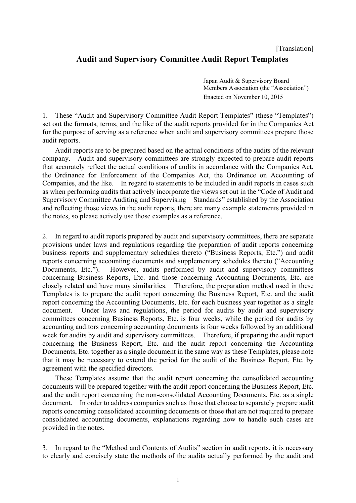# **Audit and Supervisory Committee Audit Report Templates**

Japan Audit & Supervisory Board Members Association (the "Association") Enacted on November 10, 2015

1. These "Audit and Supervisory Committee Audit Report Templates" (these "Templates") set out the formats, terms, and the like of the audit reports provided for in the Companies Act for the purpose of serving as a reference when audit and supervisory committees prepare those audit reports.

Audit reports are to be prepared based on the actual conditions of the audits of the relevant company. Audit and supervisory committees are strongly expected to prepare audit reports that accurately reflect the actual conditions of audits in accordance with the Companies Act, the Ordinance for Enforcement of the Companies Act, the Ordinance on Accounting of Companies, and the like. In regard to statements to be included in audit reports in cases such as when performing audits that actively incorporate the views set out in the "Code of Audit and Supervisory Committee Auditing and Supervising Standards" established by the Association and reflecting those views in the audit reports, there are many example statements provided in the notes, so please actively use those examples as a reference.

2. In regard to audit reports prepared by audit and supervisory committees, there are separate provisions under laws and regulations regarding the preparation of audit reports concerning business reports and supplementary schedules thereto ("Business Reports, Etc.") and audit reports concerning accounting documents and supplementary schedules thereto ("Accounting Documents, Etc."). However, audits performed by audit and supervisory committees concerning Business Reports, Etc. and those concerning Accounting Documents, Etc. are closely related and have many similarities. Therefore, the preparation method used in these Templates is to prepare the audit report concerning the Business Report, Etc. and the audit report concerning the Accounting Documents, Etc. for each business year together as a single document. Under laws and regulations, the period for audits by audit and supervisory committees concerning Business Reports, Etc. is four weeks, while the period for audits by accounting auditors concerning accounting documents is four weeks followed by an additional week for audits by audit and supervisory committees. Therefore, if preparing the audit report concerning the Business Report, Etc. and the audit report concerning the Accounting Documents, Etc. together as a single document in the same way as these Templates, please note that it may be necessary to extend the period for the audit of the Business Report, Etc. by agreement with the specified directors.

These Templates assume that the audit report concerning the consolidated accounting documents will be prepared together with the audit report concerning the Business Report, Etc. and the audit report concerning the non-consolidated Accounting Documents, Etc. as a single document. In order to address companies such as those that choose to separately prepare audit reports concerning consolidated accounting documents or those that are not required to prepare consolidated accounting documents, explanations regarding how to handle such cases are provided in the notes.

3. In regard to the "Method and Contents of Audits" section in audit reports, it is necessary to clearly and concisely state the methods of the audits actually performed by the audit and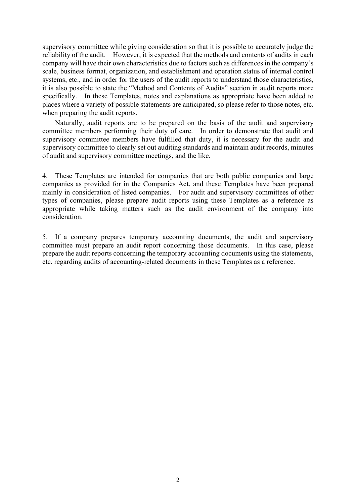supervisory committee while giving consideration so that it is possible to accurately judge the reliability of the audit. However, it is expected that the methods and contents of audits in each company will have their own characteristics due to factors such as differences in the company's scale, business format, organization, and establishment and operation status of internal control systems, etc., and in order for the users of the audit reports to understand those characteristics, it is also possible to state the "Method and Contents of Audits" section in audit reports more specifically. In these Templates, notes and explanations as appropriate have been added to places where a variety of possible statements are anticipated, so please refer to those notes, etc. when preparing the audit reports.

Naturally, audit reports are to be prepared on the basis of the audit and supervisory committee members performing their duty of care. In order to demonstrate that audit and supervisory committee members have fulfilled that duty, it is necessary for the audit and supervisory committee to clearly set out auditing standards and maintain audit records, minutes of audit and supervisory committee meetings, and the like.

4. These Templates are intended for companies that are both public companies and large companies as provided for in the Companies Act, and these Templates have been prepared mainly in consideration of listed companies. For audit and supervisory committees of other types of companies, please prepare audit reports using these Templates as a reference as appropriate while taking matters such as the audit environment of the company into consideration.

5. If a company prepares temporary accounting documents, the audit and supervisory committee must prepare an audit report concerning those documents. In this case, please prepare the audit reports concerning the temporary accounting documents using the statements, etc. regarding audits of accounting-related documents in these Templates as a reference.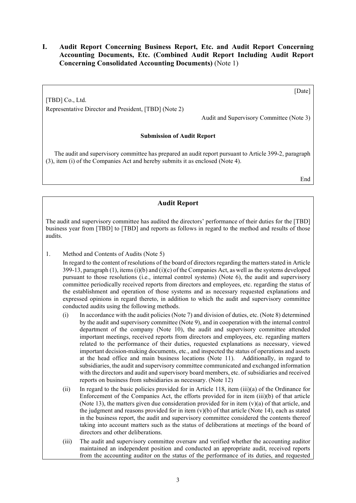## **I. Audit Report Concerning Business Report, Etc. and Audit Report Concerning Accounting Documents, Etc. (Combined Audit Report Including Audit Report Concerning Consolidated Accounting Documents)** (Note 1)

[Date]

Representative Director and President, [TBD] (Note 2)

[TBD] Co., Ltd.

Audit and Supervisory Committee (Note 3)

### **Submission of Audit Report**

The audit and supervisory committee has prepared an audit report pursuant to Article 399-2, paragraph (3), item (i) of the Companies Act and hereby submits it as enclosed (Note 4).

End

## **Audit Report**

The audit and supervisory committee has audited the directors' performance of their duties for the [TBD] business year from [TBD] to [TBD] and reports as follows in regard to the method and results of those audits.

1. Method and Contents of Audits (Note 5)

In regard to the content of resolutions of the board of directors regarding the matters stated in Article 399-13, paragraph  $(1)$ , items  $(i)(b)$  and  $(i)(c)$  of the Companies Act, as well as the systems developed pursuant to those resolutions (i.e., internal control systems) (Note 6), the audit and supervisory committee periodically received reports from directors and employees, etc. regarding the status of the establishment and operation of those systems and as necessary requested explanations and expressed opinions in regard thereto, in addition to which the audit and supervisory committee conducted audits using the following methods.

- (i) In accordance with the audit policies (Note 7) and division of duties, etc. (Note 8) determined by the audit and supervisory committee (Note 9), and in cooperation with the internal control department of the company (Note 10), the audit and supervisory committee attended important meetings, received reports from directors and employees, etc. regarding matters related to the performance of their duties, requested explanations as necessary, viewed important decision-making documents, etc., and inspected the status of operations and assets at the head office and main business locations (Note 11). Additionally, in regard to subsidiaries, the audit and supervisory committee communicated and exchanged information with the directors and audit and supervisory board members, etc. of subsidiaries and received reports on business from subsidiaries as necessary. (Note 12)
- (ii) In regard to the basic policies provided for in Article 118, item (iii)(a) of the Ordinance for Enforcement of the Companies Act, the efforts provided for in item (iii)(b) of that article (Note 13), the matters given due consideration provided for in item  $(v)(a)$  of that article, and the judgment and reasons provided for in item  $(v)(b)$  of that article (Note 14), each as stated in the business report, the audit and supervisory committee considered the contents thereof taking into account matters such as the status of deliberations at meetings of the board of directors and other deliberations.
- (iii) The audit and supervisory committee oversaw and verified whether the accounting auditor maintained an independent position and conducted an appropriate audit, received reports from the accounting auditor on the status of the performance of its duties, and requested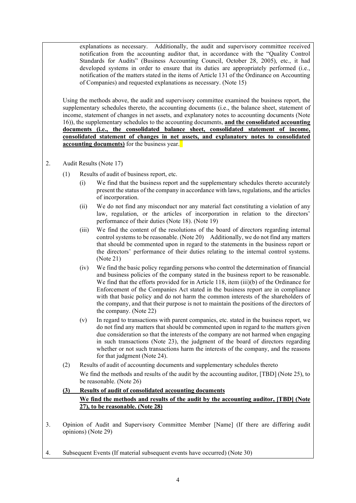explanations as necessary. Additionally, the audit and supervisory committee received notification from the accounting auditor that, in accordance with the "Quality Control Standards for Audits" (Business Accounting Council, October 28, 2005), etc., it had developed systems in order to ensure that its duties are appropriately performed (i.e., notification of the matters stated in the items of Article 131 of the Ordinance on Accounting of Companies) and requested explanations as necessary. (Note 15)

Using the methods above, the audit and supervisory committee examined the business report, the supplementary schedules thereto, the accounting documents (i.e., the balance sheet, statement of income, statement of changes in net assets, and explanatory notes to accounting documents (Note 16)), the supplementary schedules to the accounting documents, **and the consolidated accounting documents (i.e., the consolidated balance sheet, consolidated statement of income, consolidated statement of changes in net assets, and explanatory notes to consolidated accounting documents)** for the business year.

- 2. Audit Results (Note 17)
	- (1) Results of audit of business report, etc.
		- (i) We find that the business report and the supplementary schedules thereto accurately present the status of the company in accordance with laws, regulations, and the articles of incorporation.
		- (ii) We do not find any misconduct nor any material fact constituting a violation of any law, regulation, or the articles of incorporation in relation to the directors' performance of their duties (Note 18). (Note 19)
		- (iii) We find the content of the resolutions of the board of directors regarding internal control systems to be reasonable. (Note 20) Additionally, we do not find any matters that should be commented upon in regard to the statements in the business report or the directors' performance of their duties relating to the internal control systems. (Note 21)
		- (iv) We find the basic policy regarding persons who control the determination of financial and business policies of the company stated in the business report to be reasonable. We find that the efforts provided for in Article 118, item (iii)(b) of the Ordinance for Enforcement of the Companies Act stated in the business report are in compliance with that basic policy and do not harm the common interests of the shareholders of the company, and that their purpose is not to maintain the positions of the directors of the company. (Note 22)
		- (v) In regard to transactions with parent companies, etc. stated in the business report, we do not find any matters that should be commented upon in regard to the matters given due consideration so that the interests of the company are not harmed when engaging in such transactions (Note 23), the judgment of the board of directors regarding whether or not such transactions harm the interests of the company, and the reasons for that judgment (Note 24).
	- (2) Results of audit of accounting documents and supplementary schedules thereto We find the methods and results of the audit by the accounting auditor, [TBD] (Note 25), to be reasonable. (Note 26)

#### **(3) Results of audit of consolidated accounting documents**

### **We find the methods and results of the audit by the accounting auditor, [TBD] (Note 27), to be reasonable. (Note 28)**

- 3. Opinion of Audit and Supervisory Committee Member [Name] (If there are differing audit opinions) (Note 29)
- 4. Subsequent Events (If material subsequent events have occurred) (Note 30)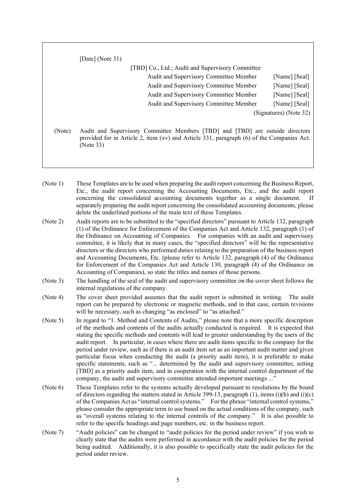|        | [Date] (Note $31$ )                                                                                                                                                                     |                        |
|--------|-----------------------------------------------------------------------------------------------------------------------------------------------------------------------------------------|------------------------|
|        | [TBD] Co., Ltd.; Audit and Supervisory Committee                                                                                                                                        |                        |
|        | Audit and Supervisory Committee Member                                                                                                                                                  | [Name] [Seal]          |
|        | Audit and Supervisory Committee Member                                                                                                                                                  | [Name] [Seal]          |
|        | Audit and Supervisory Committee Member                                                                                                                                                  | [Name] [Seal]          |
|        | Audit and Supervisory Committee Member                                                                                                                                                  | [Name] [Seal]          |
|        |                                                                                                                                                                                         | (Signatures) (Note 32) |
| (Note) | Audit and Supervisory Committee Members [TBD] and [TBD] are outside directors<br>provided for in Article 2, item (xv) and Article 331, paragraph (6) of the Companies Act.<br>(Note 33) |                        |

- (Note 1) These Templates are to be used when preparing the audit report concerning the Business Report, Etc., the audit report concerning the Accounting Documents, Etc., and the audit report concerning the consolidated accounting documents together as a single document. If separately preparing the audit report concerning the consolidated accounting documents, please delete the underlined portions of the main text of these Templates.
- (Note 2) Audit reports are to be submitted to the "specified directors" pursuant to Article 132, paragraph (1) of the Ordinance for Enforcement of the Companies Act and Article 132, paragraph (1) of the Ordinance on Accounting of Companies. For companies with an audit and supervisory committee, it is likely that in many cases, the "specified directors" will be the representative directors or the directors who performed duties relating to the preparation of the business report and Accounting Documents, Etc. (please refer to Article 132, paragraph (4) of the Ordinance for Enforcement of the Companies Act and Article 130, paragraph (4) of the Ordinance on Accounting of Companies), so state the titles and names of those persons.
- (Note 3) The handling of the seal of the audit and supervisory committee on the cover sheet follows the internal regulations of the company.
- (Note 4) The cover sheet provided assumes that the audit report is submitted in writing. The audit report can be prepared by electronic or magnetic methods, and in that case, certain revisions will be necessary, such as changing "as enclosed" to "as attached."
- (Note 5) In regard to "1. Method and Contents of Audits," please note that a more specific description of the methods and contents of the audits actually conducted is required. It is expected that stating the specific methods and contents will lead to greater understanding by the users of the audit report. In particular, in cases where there are audit items specific to the company for the period under review, such as if there is an audit item set as an important audit matter and given particular focus when conducting the audit (a priority audit item), it is preferable to make specific statements, such as "... determined by the audit and supervisory committee, setting [TBD] as a priority audit item, and in cooperation with the internal control department of the company, the audit and supervisory committee attended important meetings ..."
- (Note 6) These Templates refer to the systems actually developed pursuant to resolutions by the board of directors regarding the matters stated in Article 399-13, paragraph (1), items (i)(b) and (i)(c) of the Companies Act as "internal control systems." For the phrase "internal control systems," please consider the appropriate term to use based on the actual conditions of the company, such as "overall systems relating to the internal controls of the company." It is also possible to refer to the specific headings and page numbers, etc. in the business report.
- (Note 7) "Audit policies" can be changed to "audit policies for the period under review" if you wish to clearly state that the audits were performed in accordance with the audit policies for the period being audited. Additionally, it is also possible to specifically state the audit policies for the period under review.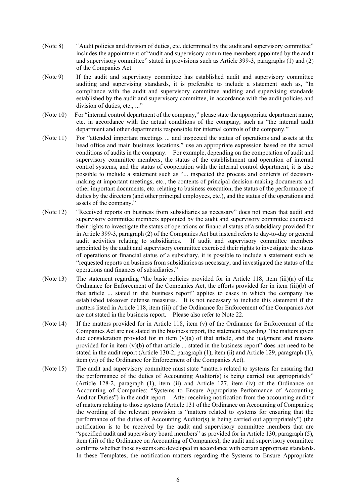- (Note 8) "Audit policies and division of duties, etc. determined by the audit and supervisory committee" includes the appointment of "audit and supervisory committee members appointed by the audit and supervisory committee" stated in provisions such as Article 399-3, paragraphs (1) and (2) of the Companies Act.
- (Note 9) If the audit and supervisory committee has established audit and supervisory committee auditing and supervising standards, it is preferable to include a statement such as, "In compliance with the audit and supervisory committee auditing and supervising standards established by the audit and supervisory committee, in accordance with the audit policies and division of duties, etc., ..."
- (Note 10) For "internal control department of the company," please state the appropriate department name, etc. in accordance with the actual conditions of the company, such as "the internal audit department and other departments responsible for internal controls of the company."
- (Note 11) For "attended important meetings ... and inspected the status of operations and assets at the head office and main business locations," use an appropriate expression based on the actual conditions of audits in the company. For example, depending on the composition of audit and supervisory committee members, the status of the establishment and operation of internal control systems, and the status of cooperation with the internal control department, it is also possible to include a statement such as "... inspected the process and contents of decisionmaking at important meetings, etc., the contents of principal decision-making documents and other important documents, etc. relating to business execution, the status of the performance of duties by the directors (and other principal employees, etc.), and the status of the operations and assets of the company."
- (Note 12) "Received reports on business from subsidiaries as necessary" does not mean that audit and supervisory committee members appointed by the audit and supervisory committee exercised their rights to investigate the status of operations or financial status of a subsidiary provided for in Article 399-3, paragraph (2) of the Companies Act but instead refers to day-to-day or general If audit and supervisory committee members appointed by the audit and supervisory committee exercised their rights to investigate the status of operations or financial status of a subsidiary, it is possible to include a statement such as "requested reports on business from subsidiaries as necessary, and investigated the status of the operations and finances of subsidiaries."
- (Note 13) The statement regarding "the basic policies provided for in Article 118, item (iii)(a) of the Ordinance for Enforcement of the Companies Act, the efforts provided for in item (iii)(b) of that article ... stated in the business report" applies to cases in which the company has established takeover defense measures. It is not necessary to include this statement if the matters listed in Article 118, item (iii) of the Ordinance for Enforcement of the Companies Act are not stated in the business report. Please also refer to Note 22.
- (Note 14) If the matters provided for in Article 118, item (v) of the Ordinance for Enforcement of the Companies Act are not stated in the business report, the statement regarding "the matters given due consideration provided for in item  $(v)(a)$  of that article, and the judgment and reasons provided for in item  $(v)(b)$  of that article ... stated in the business report" does not need to be stated in the audit report (Article 130-2, paragraph (1), item (ii) and Article 129, paragraph (1), item (vi) of the Ordinance for Enforcement of the Companies Act).
- (Note 15) The audit and supervisory committee must state "matters related to systems for ensuring that the performance of the duties of Accounting Auditor(s) is being carried out appropriately" (Article 128-2, paragraph (1), item (ii) and Article 127, item (iv) of the Ordinance on Accounting of Companies; "Systems to Ensure Appropriate Performance of Accounting Auditor Duties") in the audit report. After receiving notification from the accounting auditor of matters relating to those systems (Article 131 of the Ordinance on Accounting of Companies; the wording of the relevant provision is "matters related to systems for ensuring that the performance of the duties of Accounting Auditor(s) is being carried out appropriately") (the notification is to be received by the audit and supervisory committee members that are "specified audit and supervisory board members" as provided for in Article 130, paragraph (5), item (iii) of the Ordinance on Accounting of Companies), the audit and supervisory committee confirms whether those systems are developed in accordance with certain appropriate standards. In these Templates, the notification matters regarding the Systems to Ensure Appropriate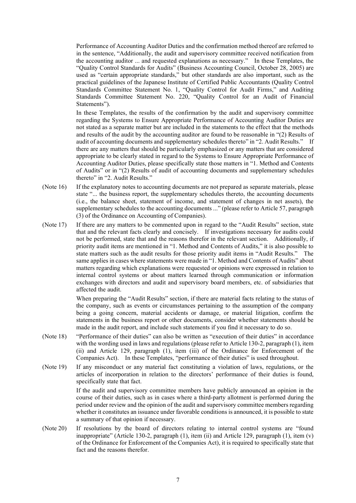Performance of Accounting Auditor Duties and the confirmation method thereof are referred to in the sentence, "Additionally, the audit and supervisory committee received notification from the accounting auditor ... and requested explanations as necessary." In these Templates, the "Quality Control Standards for Audits" (Business Accounting Council, October 28, 2005) are used as "certain appropriate standards," but other standards are also important, such as the practical guidelines of the Japanese Institute of Certified Public Accountants (Quality Control Standards Committee Statement No. 1, "Quality Control for Audit Firms," and Auditing Standards Committee Statement No. 220, "Quality Control for an Audit of Financial Statements").

In these Templates, the results of the confirmation by the audit and supervisory committee regarding the Systems to Ensure Appropriate Performance of Accounting Auditor Duties are not stated as a separate matter but are included in the statements to the effect that the methods and results of the audit by the accounting auditor are found to be reasonable in "(2) Results of audit of accounting documents and supplementary schedules thereto" in "2. Audit Results." If there are any matters that should be particularly emphasized or any matters that are considered appropriate to be clearly stated in regard to the Systems to Ensure Appropriate Performance of Accounting Auditor Duties, please specifically state those matters in "1. Method and Contents of Audits" or in "(2) Results of audit of accounting documents and supplementary schedules thereto" in "2. Audit Results."

- (Note 16) If the explanatory notes to accounting documents are not prepared as separate materials, please state "... the business report, the supplementary schedules thereto, the accounting documents (i.e., the balance sheet, statement of income, and statement of changes in net assets), the supplementary schedules to the accounting documents ..." (please refer to Article 57, paragraph (3) of the Ordinance on Accounting of Companies).
- (Note 17) If there are any matters to be commented upon in regard to the "Audit Results" section, state that and the relevant facts clearly and concisely. If investigations necessary for audits could not be performed, state that and the reasons therefor in the relevant section. Additionally, if priority audit items are mentioned in "1. Method and Contents of Audits," it is also possible to state matters such as the audit results for those priority audit items in "Audit Results." The same applies in cases where statements were made in "1. Method and Contents of Audits" about matters regarding which explanations were requested or opinions were expressed in relation to internal control systems or about matters learned through communication or information exchanges with directors and audit and supervisory board members, etc. of subsidiaries that affected the audit.

When preparing the "Audit Results" section, if there are material facts relating to the status of the company, such as events or circumstances pertaining to the assumption of the company being a going concern, material accidents or damage, or material litigation, confirm the statements in the business report or other documents, consider whether statements should be made in the audit report, and include such statements if you find it necessary to do so.

- (Note 18) "Performance of their duties" can also be written as "execution of their duties" in accordance with the wording used in laws and regulations (please refer to Article 130-2, paragraph (1), item (ii) and Article 129, paragraph (1), item (iii) of the Ordinance for Enforcement of the Companies Act). In these Templates, "performance of their duties" is used throughout.
- (Note 19) If any misconduct or any material fact constituting a violation of laws, regulations, or the articles of incorporation in relation to the directors' performance of their duties is found, specifically state that fact.

If the audit and supervisory committee members have publicly announced an opinion in the course of their duties, such as in cases where a third-party allotment is performed during the period under review and the opinion of the audit and supervisory committee members regarding whether it constitutes an issuance under favorable conditions is announced, it is possible to state a summary of that opinion if necessary.

(Note 20) If resolutions by the board of directors relating to internal control systems are "found inappropriate" (Article 130-2, paragraph  $(1)$ , item  $(ii)$ ) and Article 129, paragraph  $(1)$ , item  $(v)$ of the Ordinance for Enforcement of the Companies Act), it is required to specifically state that fact and the reasons therefor.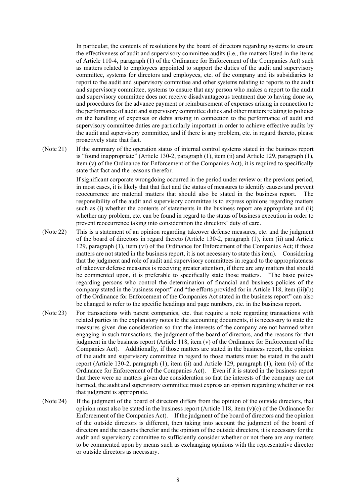In particular, the contents of resolutions by the board of directors regarding systems to ensure the effectiveness of audit and supervisory committee audits (i.e., the matters listed in the items of Article 110-4, paragraph (1) of the Ordinance for Enforcement of the Companies Act) such as matters related to employees appointed to support the duties of the audit and supervisory committee, systems for directors and employees, etc. of the company and its subsidiaries to report to the audit and supervisory committee and other systems relating to reports to the audit and supervisory committee, systems to ensure that any person who makes a report to the audit and supervisory committee does not receive disadvantageous treatment due to having done so, and procedures for the advance payment or reimbursement of expenses arising in connection to the performance of audit and supervisory committee duties and other matters relating to policies on the handling of expenses or debts arising in connection to the performance of audit and supervisory committee duties are particularly important in order to achieve effective audits by the audit and supervisory committee, and if there is any problem, etc. in regard thereto, please proactively state that fact.

(Note 21) If the summary of the operation status of internal control systems stated in the business report is "found inappropriate" (Article 130-2, paragraph (1), item (ii) and Article 129, paragraph (1), item (v) of the Ordinance for Enforcement of the Companies Act), it is required to specifically state that fact and the reasons therefor.

> If significant corporate wrongdoing occurred in the period under review or the previous period, in most cases, it is likely that that fact and the status of measures to identify causes and prevent reoccurrence are material matters that should also be stated in the business report. The responsibility of the audit and supervisory committee is to express opinions regarding matters such as (i) whether the contents of statements in the business report are appropriate and (ii) whether any problem, etc. can be found in regard to the status of business execution in order to prevent reoccurrence taking into consideration the directors' duty of care.

- (Note 22) This is a statement of an opinion regarding takeover defense measures, etc. and the judgment of the board of directors in regard thereto (Article 130-2, paragraph (1), item (ii) and Article 129, paragraph (1), item (vi) of the Ordinance for Enforcement of the Companies Act; if those matters are not stated in the business report, it is not necessary to state this item). Considering that the judgment and role of audit and supervisory committees in regard to the appropriateness of takeover defense measures is receiving greater attention, if there are any matters that should be commented upon, it is preferable to specifically state those matters. "The basic policy regarding persons who control the determination of financial and business policies of the company stated in the business report" and "the efforts provided for in Article 118, item (iii)(b) of the Ordinance for Enforcement of the Companies Act stated in the business report" can also be changed to refer to the specific headings and page numbers, etc. in the business report.
- (Note 23) For transactions with parent companies, etc. that require a note regarding transactions with related parties in the explanatory notes to the accounting documents, it is necessary to state the measures given due consideration so that the interests of the company are not harmed when engaging in such transactions, the judgment of the board of directors, and the reasons for that judgment in the business report (Article 118, item (v) of the Ordinance for Enforcement of the Companies Act). Additionally, if those matters are stated in the business report, the opinion of the audit and supervisory committee in regard to those matters must be stated in the audit report (Article 130-2, paragraph (1), item (ii) and Article 129, paragraph (1), item (vi) of the Ordinance for Enforcement of the Companies Act). Even if it is stated in the business report that there were no matters given due consideration so that the interests of the company are not harmed, the audit and supervisory committee must express an opinion regarding whether or not that judgment is appropriate.
- (Note 24) If the judgment of the board of directors differs from the opinion of the outside directors, that opinion must also be stated in the business report (Article 118, item  $(v)(c)$  of the Ordinance for Enforcement of the Companies Act). If the judgment of the board of directors and the opinion of the outside directors is different, then taking into account the judgment of the board of directors and the reasons therefor and the opinion of the outside directors, it is necessary for the audit and supervisory committee to sufficiently consider whether or not there are any matters to be commented upon by means such as exchanging opinions with the representative director or outside directors as necessary.